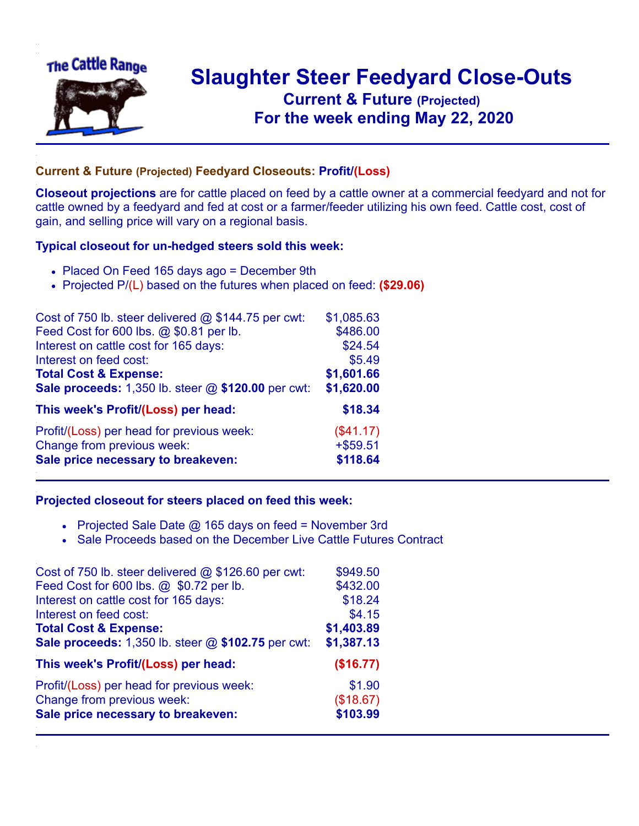

## **Slaughter Steer Feedyard Close-Outs Current & Future (Projected)** .**For the week ending May 22, 2020**

## **Current & Future (Projected) Feedyard Closeouts: Profit/(Loss)**

**Closeout projections** are for cattle placed on feed by a cattle owner at a commercial feedyard and not for cattle owned by a feedyard and fed at cost or a farmer/feeder utilizing his own feed. Cattle cost, cost of gain, and selling price will vary on a regional basis.

## **Typical closeout for un-hedged steers sold this week:**

- Placed On Feed 165 days ago = December 9th
- Projected P/(L) based on the futures when placed on feed: **(\$29.06)**

| Cost of 750 lb. steer delivered $@$ \$144.75 per cwt: | \$1,085.63  |
|-------------------------------------------------------|-------------|
| Feed Cost for 600 lbs. @ \$0.81 per lb.               | \$486.00    |
| Interest on cattle cost for 165 days:                 | \$24.54     |
| Interest on feed cost:                                | \$5.49      |
| <b>Total Cost &amp; Expense:</b>                      | \$1,601.66  |
| Sale proceeds: 1,350 lb. steer @ \$120.00 per cwt:    | \$1,620.00  |
| This week's Profit/(Loss) per head:                   | \$18.34     |
| Profit/(Loss) per head for previous week:             | (\$41.17)   |
| Change from previous week:                            | $+$ \$59.51 |
| Sale price necessary to breakeven:                    | \$118.64    |

## **Projected closeout for steers placed on feed this week:**

- Projected Sale Date  $@$  165 days on feed = November 3rd
- Sale Proceeds based on the December Live Cattle Futures Contract

| \$949.50   |
|------------|
| \$432.00   |
| \$18.24    |
| \$4.15     |
| \$1,403.89 |
| \$1,387.13 |
| (\$16.77)  |
| \$1.90     |
| (\$18.67)  |
| \$103.99   |
|            |